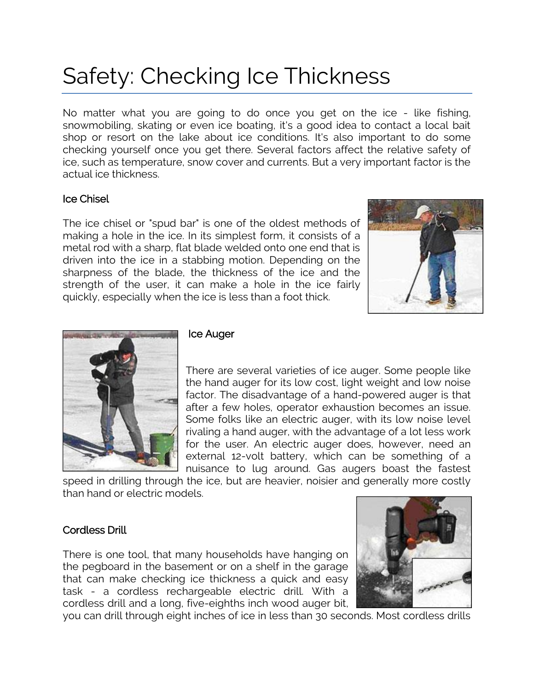# Safety: Checking Ice Thickness

No matter what you are going to do once you get on the ice - like fishing, snowmobiling, skating or even ice boating, it's a good idea to contact a local bait shop or resort on the lake about ice conditions. It's also important to do some checking yourself once you get there. Several factors affect the relative safety of ice, such as temperature, snow cover and currents. But a very important factor is the actual ice thickness.

## Ice Chisel

The ice chisel or "spud bar" is one of the oldest methods of making a hole in the ice. In its simplest form, it consists of a metal rod with a sharp, flat blade welded onto one end that is driven into the ice in a stabbing motion. Depending on the sharpness of the blade, the thickness of the ice and the strength of the user, it can make a hole in the ice fairly quickly, especially when the ice is less than a foot thick.





#### Ice Auger

There are several varieties of ice auger. Some people like the hand auger for its low cost, light weight and low noise factor. The disadvantage of a hand-powered auger is that after a few holes, operator exhaustion becomes an issue. Some folks like an electric auger, with its low noise level rivaling a hand auger, with the advantage of a lot less work for the user. An electric auger does, however, need an external 12-volt battery, which can be something of a nuisance to lug around. Gas augers boast the fastest

speed in drilling through the ice, but are heavier, noisier and generally more costly than hand or electric models.

#### Cordless Drill

There is one tool, that many households have hanging on the pegboard in the basement or on a shelf in the garage that can make checking ice thickness a quick and easy task - a cordless rechargeable electric drill. With a cordless drill and a long, five-eighths inch wood auger bit,



you can drill through eight inches of ice in less than 30 seconds. Most cordless drills